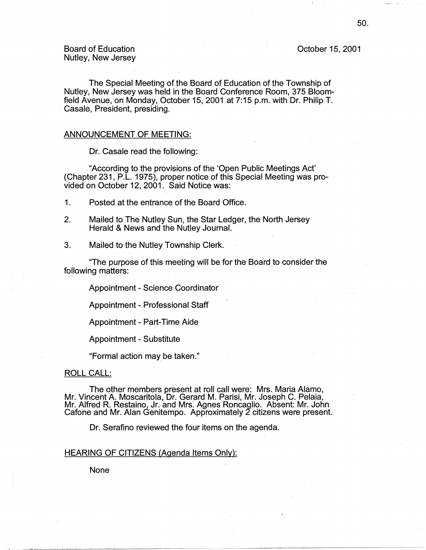## October 15, 2001

## Board of Education Nutley, New Jersey

The Special Meeting of the Board of Education of the Township of Nutley, New Jersey was held in the Board Conference Room, 375 Bloomfield Avenue, on Monday, October 15, 2001 at 7:15 p.m. with Dr. Philip T. Casale, President, presiding.

### ANNOUNCEMENT OF MEETING:

Dr. Casale read the following:

"According to the provisions of the 'Opeh Public Meetings Act' (Chapter 231, P .L. 1975), proper notice of this Special Meeting was provided on October 12, 2001. Said Notice was:

- 1. Posted at the entrance of the Board Office.
- 2. Mailed to The Nutley Sun, the Star Ledger, the North Jersey Herald & News and the Nutley Journal.
- 3. Mailed to the Nutley Township Clerk.

"The purpose of this meeting will be for the Board to consider the following matters:

Appointment - Science Coordinator

Appointment - Professional Staff

Appointment - Part-Time Aide

Appointment - Substitute

"Formal action may, be taken."

### ROLL CALL:

The other members present at roll call were: Mrs. Maria Alamo, Mr. Vincent A. Moscaritola, Dr. Gerard M. Parisi, Mr. Joseph C. Pelaia, Mr. Alfred R. Restaino, Jr. and Mrs. Agnes Roncaglio. Absent: Mr. John Cafone and Mr. Alan Genitempo. Approximately 2 citizens were present.

Dr. Serafino reviewed the four items on the agenda.

### HEARING OF CITIZENS (Agenda Items Only):

None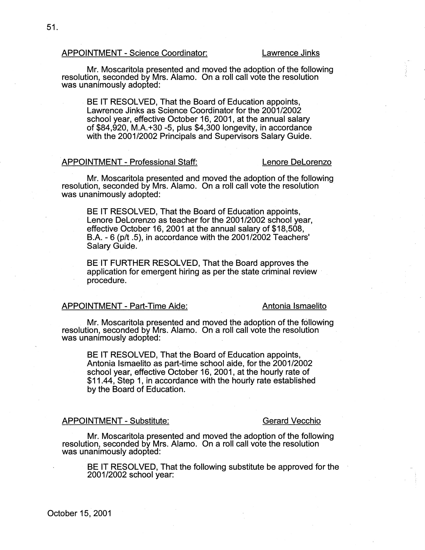### APPOINTMENT - Science Coordinator: Lawrence Jinks

Mr. Moscaritola presented and moved the adoption of the following resolution, seconded by Mrs. Alamo. On a roll call vote the resolution was unanimously adopted:

BE IT RESOLVED, That the Board of Education appoints, Lawrence Jinks as Science Coordinator for the 2001/2002 school year, effective October 16, 2001, at the annual salary of \$84,920, M.A. +30 -5, plus \$4,300 longevity, in accordance with the 2001/2002 Principals and Supervisors Salary Guide.

## APPOINTMENT- Professional Staff: Lenore Delorenzo

Mr. Moscaritola presented and moved the adoption of the following resolution, seconded by Mrs. Alamo. On a roll call vote the resolution · was unanimously adopted:

BE IT RESOLVED, That the Board of Education appoints, Lenore Delorenzo as teacher for the 2001/2002 school year, effective October 16, 2001 at the annual salary of \$18,508, B.A. - 6 (p/t .5), in accordance with the 2001/2002 Teachers' Salary Guide.

BE IT FURTHER RESOLVED, That the Board approves the application for emergent hiring as per the state criminal review procedure.

## APPOINTMENT - Part-Time Aide: Antonia Ismaelito

Mr. Moscaritola presented and moved the adoption of the following resolution, seconded by Mrs. Alamo. On a roll call vote the resolution was unanimously adopted:

BE IT RESOLVED; That the Board of Education appoints, Antonia lsmaelito as part-time school aide, for the 2001/2002 school year, effective October 16, 2001, at the hourly rate of \$11.44, Step 1, in accordance with the hourly rate established by the Board of Education.

## APPOINTMENT- Substitute: Gerard Vecchio

Mr. Moscaritola presented and moved the adoption of the following resolution, seconded by Mrs. Alamo. On a roll call vote the resolution was unanimously adopted:

BE IT RESOLVED, That the following substitute be approved for the 2001/2002 school year: